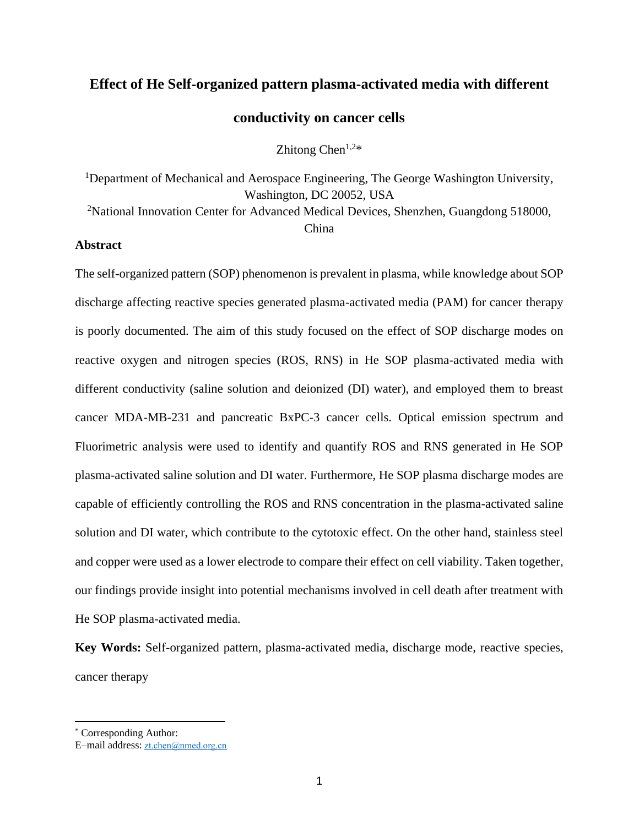# **Effect of He Self-organized pattern plasma-activated media with different**

## **conductivity on cancer cells**

Zhitong Chen<sup>1,2\*</sup>

<sup>1</sup>Department of Mechanical and Aerospace Engineering, The George Washington University, [Washington, DC 20052, USA](http://scitation.aip.org/search;jsessionid=apsajlqc31657.x-aip-live-06?option1=pub_affiliation&value1=Department%20of%20Mechanical%20and%20Aerospace%20Engineering,%20George%20Washington%20University,%20Washington,%20DC%2020052,%20USA&option912=resultCategory&value912=ResearchPublicationContent)

<sup>2</sup>National Innovation Center for Advanced Medical Devices, Shenzhen, Guangdong 518000, China

#### **Abstract**

The self-organized pattern (SOP) phenomenon is prevalent in plasma, while knowledge about SOP discharge affecting reactive species generated plasma-activated media (PAM) for cancer therapy is poorly documented. The aim of this study focused on the effect of SOP discharge modes on reactive oxygen and nitrogen species (ROS, RNS) in He SOP plasma-activated media with different conductivity (saline solution and deionized (DI) water), and employed them to breast cancer MDA-MB-231 and pancreatic BxPC-3 cancer cells. Optical emission spectrum and Fluorimetric analysis were used to identify and quantify ROS and RNS generated in He SOP plasma-activated saline solution and DI water. Furthermore, He SOP plasma discharge modes are capable of efficiently controlling the ROS and RNS concentration in the plasma-activated saline solution and DI water, which contribute to the cytotoxic effect. On the other hand, stainless steel and copper were used as a lower electrode to compare their effect on cell viability. Taken together, our findings provide insight into potential mechanisms involved in cell death after treatment with He SOP plasma-activated media.

**Key Words:** Self-organized pattern, plasma-activated media, discharge mode, reactive species, cancer therapy

<sup>\*</sup> Corresponding Author:

E–mail address: [zt.chen@nmed.org.cn](mailto:zt.chen@nmed.org.cn)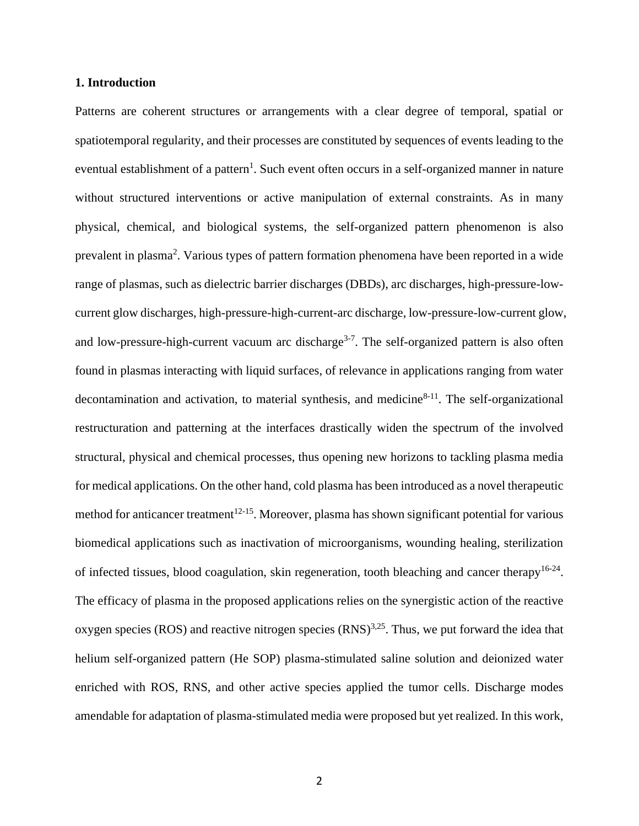#### **1. Introduction**

Patterns are coherent structures or arrangements with a clear degree of temporal, spatial or spatiotemporal regularity, and their processes are constituted by sequences of events leading to the eventual establishment of a pattern<sup>1</sup>. Such event often occurs in a self-organized manner in nature without structured interventions or active manipulation of external constraints. As in many physical, chemical, and biological systems, the self-organized pattern phenomenon is also prevalent in plasma<sup>2</sup>. Various types of pattern formation phenomena have been reported in a wide range of plasmas, such as dielectric barrier discharges (DBDs), arc discharges, high-pressure-lowcurrent glow discharges, high-pressure-high-current-arc discharge, low-pressure-low-current glow, and low-pressure-high-current vacuum arc discharge<sup>3-7</sup>. The self-organized pattern is also often found in plasmas interacting with liquid surfaces, of relevance in applications ranging from water decontamination and activation, to material synthesis, and medicine $8-11$ . The self-organizational restructuration and patterning at the interfaces drastically widen the spectrum of the involved structural, physical and chemical processes, thus opening new horizons to tackling plasma media for medical applications. On the other hand, cold plasma has been introduced as a novel therapeutic method for anticancer treatment $12-15$ . Moreover, plasma has shown significant potential for various biomedical applications such as inactivation of microorganisms, wounding healing, sterilization of infected tissues, blood coagulation, skin regeneration, tooth bleaching and cancer therapy<sup>16-24</sup>. The efficacy of plasma in the proposed applications relies on the synergistic action of the reactive oxygen species (ROS) and reactive nitrogen species  $(RNS)^{3,25}$ . Thus, we put forward the idea that helium self-organized pattern (He SOP) plasma-stimulated saline solution and deionized water enriched with ROS, RNS, and other active species applied the tumor cells. Discharge modes amendable for adaptation of plasma-stimulated media were proposed but yet realized. In this work,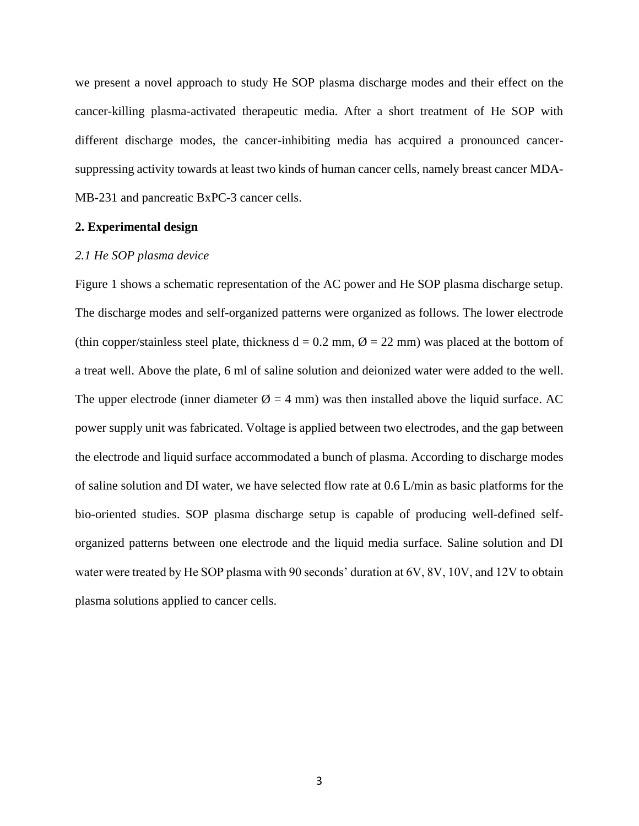we present a novel approach to study He SOP plasma discharge modes and their effect on the cancer-killing plasma-activated therapeutic media. After a short treatment of He SOP with different discharge modes, the cancer-inhibiting media has acquired a pronounced cancersuppressing activity towards at least two kinds of human cancer cells, namely breast cancer MDA-MB-231 and pancreatic BxPC-3 cancer cells.

### **2. Experimental design**

#### *2.1 He SOP plasma device*

Figure 1 shows a schematic representation of the AC power and He SOP plasma discharge setup. The discharge modes and self-organized patterns were organized as follows. The lower electrode (thin copper/stainless steel plate, thickness  $d = 0.2$  mm,  $\varnothing = 22$  mm) was placed at the bottom of a treat well. Above the plate, 6 ml of saline solution and deionized water were added to the well. The upper electrode (inner diameter  $\varnothing = 4$  mm) was then installed above the liquid surface. AC power supply unit was fabricated. Voltage is applied between two electrodes, and the gap between the electrode and liquid surface accommodated a bunch of plasma. According to discharge modes of saline solution and DI water, we have selected flow rate at 0.6 L/min as basic platforms for the bio-oriented studies. SOP plasma discharge setup is capable of producing well-defined selforganized patterns between one electrode and the liquid media surface. Saline solution and DI water were treated by He SOP plasma with 90 seconds' duration at 6V, 8V, 10V, and 12V to obtain plasma solutions applied to cancer cells.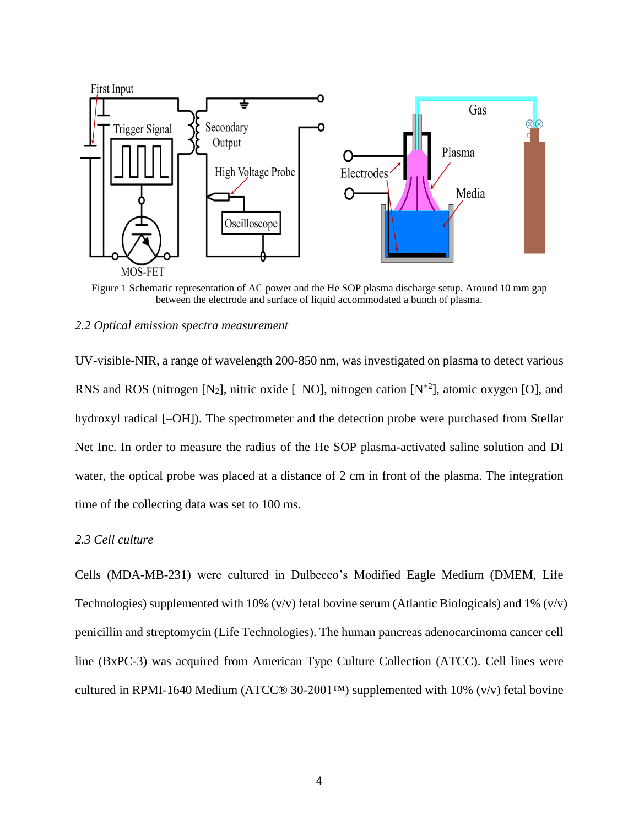

Figure 1 Schematic representation of AC power and the He SOP plasma discharge setup. Around 10 mm gap between the electrode and surface of liquid accommodated a bunch of plasma.

#### *2.2 Optical emission spectra measurement*

UV-visible-NIR, a range of wavelength 200-850 nm, was investigated on plasma to detect various RNS and ROS (nitrogen [N<sub>2</sub>], nitric oxide [–NO], nitrogen cation [N<sup>+2</sup>], atomic oxygen [O], and hydroxyl radical  $[-OH]$ ). The spectrometer and the detection probe were purchased from Stellar Net Inc. In order to measure the radius of the He SOP plasma-activated saline solution and DI water, the optical probe was placed at a distance of 2 cm in front of the plasma. The integration time of the collecting data was set to 100 ms.

## *2.3 Cell culture*

Cells (MDA-MB-231) were cultured in Dulbecco's Modified Eagle Medium (DMEM, Life Technologies) supplemented with 10%  $(v/v)$  fetal bovine serum (Atlantic Biologicals) and 1%  $(v/v)$ penicillin and streptomycin (Life Technologies). The human pancreas adenocarcinoma cancer cell line (BxPC-3) was acquired from American Type Culture Collection (ATCC). Cell lines were cultured in RPMI-1640 Medium (ATCC $@$  30-2001™) supplemented with 10% (v/v) fetal bovine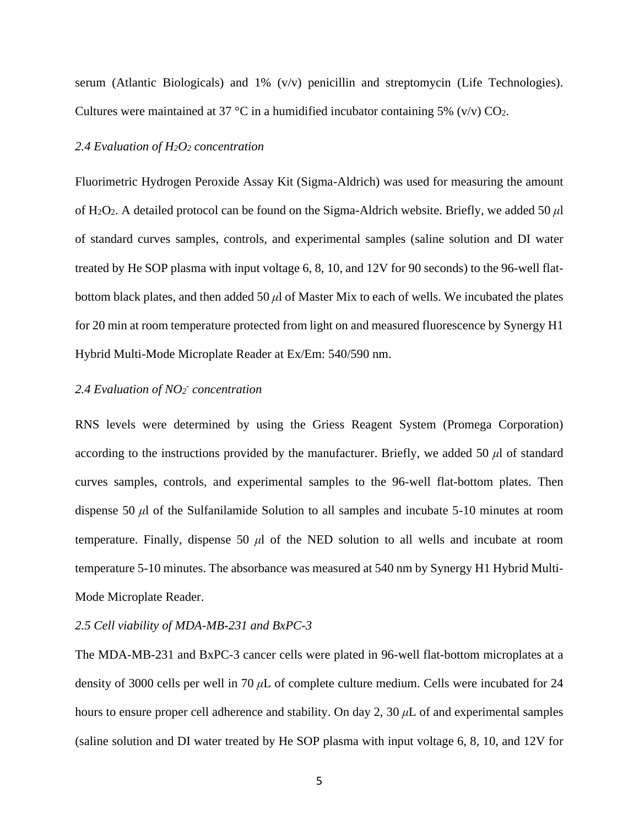serum (Atlantic Biologicals) and 1% (v/v) penicillin and streptomycin (Life Technologies). Cultures were maintained at 37 °C in a humidified incubator containing 5% (v/v)  $CO<sub>2</sub>$ .

#### *2.4 Evaluation of H2O<sup>2</sup> concentration*

Fluorimetric Hydrogen Peroxide Assay Kit (Sigma-Aldrich) was used for measuring the amount of H2O2. A detailed protocol can be found on the Sigma-Aldrich website. Briefly, we added 50 *μ*l of standard curves samples, controls, and experimental samples (saline solution and DI water treated by He SOP plasma with input voltage 6, 8, 10, and 12V for 90 seconds) to the 96-well flatbottom black plates, and then added 50 *μ*l of Master Mix to each of wells. We incubated the plates for 20 min at room temperature protected from light on and measured fluorescence by Synergy H1 Hybrid Multi-Mode Microplate Reader at Ex/Em: 540/590 nm.

## *2.4 Evaluation of NO<sup>2</sup> - concentration*

RNS levels were determined by using the Griess Reagent System (Promega Corporation) according to the instructions provided by the manufacturer. Briefly, we added 50 *μ*l of standard curves samples, controls, and experimental samples to the 96-well flat-bottom plates. Then dispense 50 *μ*l of the Sulfanilamide Solution to all samples and incubate 5-10 minutes at room temperature. Finally, dispense 50 *μ*l of the NED solution to all wells and incubate at room temperature 5-10 minutes. The absorbance was measured at 540 nm by Synergy H1 Hybrid Multi-Mode Microplate Reader.

#### *2.5 Cell viability of MDA-MB-231 and BxPC-3*

The MDA-MB-231 and BxPC-3 cancer cells were plated in 96-well flat-bottom microplates at a density of 3000 cells per well in 70 *μ*L of complete culture medium. Cells were incubated for 24 hours to ensure proper cell adherence and stability. On day 2, 30 *μ*L of and experimental samples (saline solution and DI water treated by He SOP plasma with input voltage 6, 8, 10, and 12V for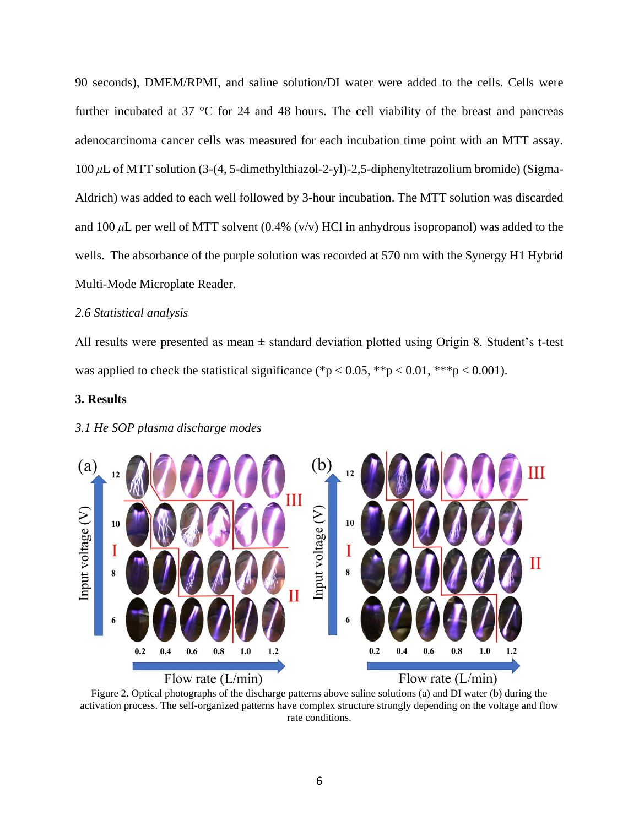90 seconds), DMEM/RPMI, and saline solution/DI water were added to the cells. Cells were further incubated at 37 °C for 24 and 48 hours. The cell viability of the breast and pancreas adenocarcinoma cancer cells was measured for each incubation time point with an MTT assay. 100 *μ*L of MTT solution (3-(4, 5-dimethylthiazol-2-yl)-2,5-diphenyltetrazolium bromide) (Sigma-Aldrich) was added to each well followed by 3-hour incubation. The MTT solution was discarded and 100  $\mu$ L per well of MTT solvent (0.4% (v/v) HCl in anhydrous isopropanol) was added to the wells. The absorbance of the purple solution was recorded at 570 nm with the Synergy H1 Hybrid Multi-Mode Microplate Reader.

#### *2.6 Statistical analysis*

All results were presented as mean  $\pm$  standard deviation plotted using Origin 8. Student's t-test was applied to check the statistical significance (\*p < 0.05, \*\*p < 0.01, \*\*\*p < 0.001).

#### **3. Results**



#### *3.1 He SOP plasma discharge modes*

Figure 2. Optical photographs of the discharge patterns above saline solutions (a) and DI water (b) during the activation process. The self-organized patterns have complex structure strongly depending on the voltage and flow rate conditions.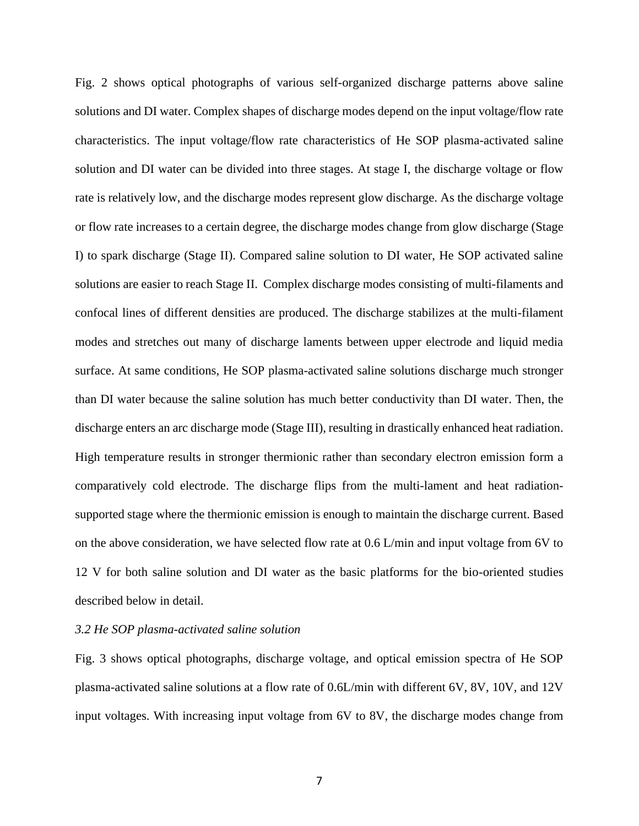Fig. 2 shows optical photographs of various self-organized discharge patterns above saline solutions and DI water. Complex shapes of discharge modes depend on the input voltage/flow rate characteristics. The input voltage/flow rate characteristics of He SOP plasma-activated saline solution and DI water can be divided into three stages. At stage I, the discharge voltage or flow rate is relatively low, and the discharge modes represent glow discharge. As the discharge voltage or flow rate increases to a certain degree, the discharge modes change from glow discharge (Stage I) to spark discharge (Stage II). Compared saline solution to DI water, He SOP activated saline solutions are easier to reach Stage II. Complex discharge modes consisting of multi-filaments and confocal lines of different densities are produced. The discharge stabilizes at the multi-filament modes and stretches out many of discharge laments between upper electrode and liquid media surface. At same conditions, He SOP plasma-activated saline solutions discharge much stronger than DI water because the saline solution has much better conductivity than DI water. Then, the discharge enters an arc discharge mode (Stage III), resulting in drastically enhanced heat radiation. High temperature results in stronger thermionic rather than secondary electron emission form a comparatively cold electrode. The discharge flips from the multi-lament and heat radiationsupported stage where the thermionic emission is enough to maintain the discharge current. Based on the above consideration, we have selected flow rate at 0.6 L/min and input voltage from 6V to 12 V for both saline solution and DI water as the basic platforms for the bio-oriented studies described below in detail.

#### *3.2 He SOP plasma-activated saline solution*

Fig. 3 shows optical photographs, discharge voltage, and optical emission spectra of He SOP plasma-activated saline solutions at a flow rate of 0.6L/min with different 6V, 8V, 10V, and 12V input voltages. With increasing input voltage from 6V to 8V, the discharge modes change from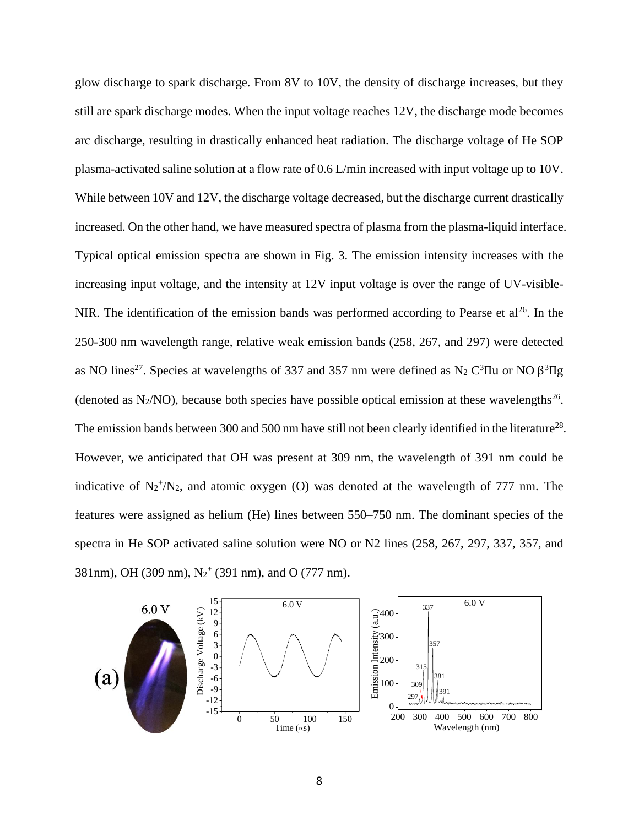glow discharge to spark discharge. From 8V to 10V, the density of discharge increases, but they still are spark discharge modes. When the input voltage reaches 12V, the discharge mode becomes arc discharge, resulting in drastically enhanced heat radiation. The discharge voltage of He SOP plasma-activated saline solution at a flow rate of 0.6 L/min increased with input voltage up to 10V. While between 10V and 12V, the discharge voltage decreased, but the discharge current drastically increased. On the other hand, we have measured spectra of plasma from the plasma-liquid interface. Typical optical emission spectra are shown in Fig. 3. The emission intensity increases with the increasing input voltage, and the intensity at 12V input voltage is over the range of UV-visible-NIR. The identification of the emission bands was performed according to Pearse et  $al^{26}$ . In the 250-300 nm wavelength range, relative weak emission bands (258, 267, and 297) were detected as NO lines<sup>27</sup>. Species at wavelengths of 337 and 357 nm were defined as N<sub>2</sub> C<sup>3</sup>IIu or NO  $\beta$ <sup>3</sup>IIg (denoted as  $N_2/NO$ ), because both species have possible optical emission at these wavelengths<sup>26</sup>. The emission bands between 300 and 500 nm have still not been clearly identified in the literature<sup>28</sup>. However, we anticipated that OH was present at 309 nm, the wavelength of 391 nm could be indicative of  $N_2^+ / N_2$ , and atomic oxygen (O) was denoted at the wavelength of 777 nm. The features were assigned as helium (He) lines between 550–750 nm. The dominant species of the spectra in He SOP activated saline solution were NO or N2 lines (258, 267, 297, 337, 357, and 381nm), OH (309 nm),  $N_2^+$  (391 nm), and O (777 nm).

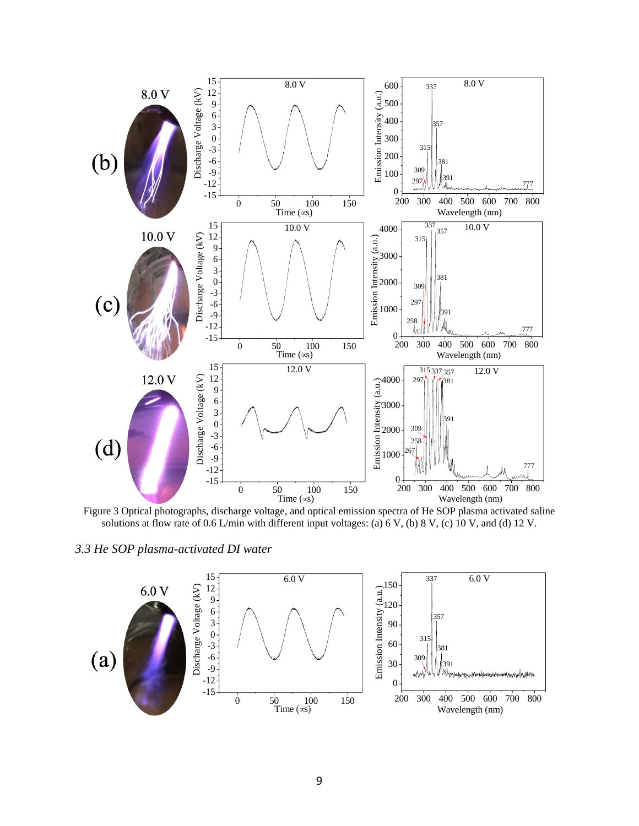

Figure 3 Optical photographs, discharge voltage, and optical emission spectra of He SOP plasma activated saline solutions at flow rate of 0.6 L/min with different input voltages: (a) 6 V, (b) 8 V, (c) 10 V, and (d) 12 V.

*3.3 He SOP plasma-activated DI water*

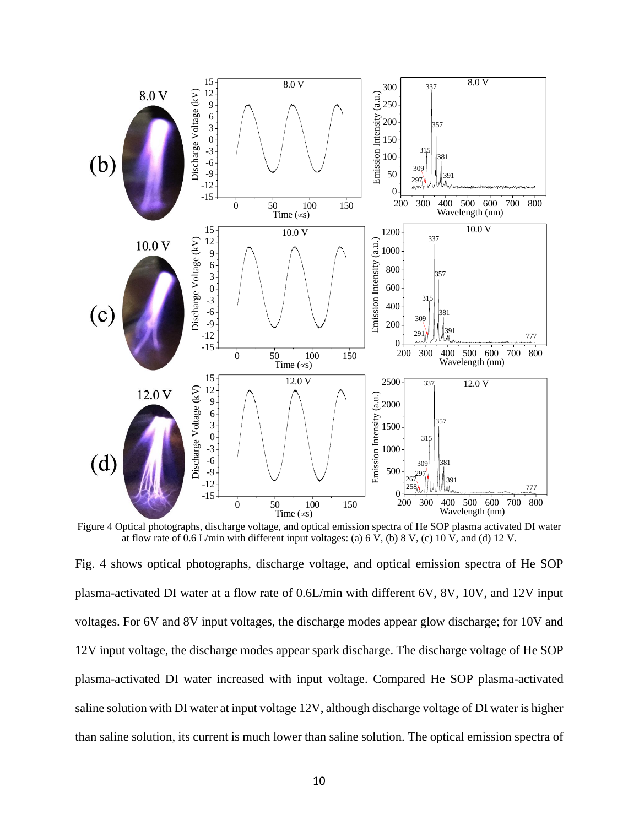

Figure 4 Optical photographs, discharge voltage, and optical emission spectra of He SOP plasma activated DI water at flow rate of 0.6 L/min with different input voltages: (a) 6 V, (b) 8 V, (c) 10 V, and (d) 12 V.

Fig. 4 shows optical photographs, discharge voltage, and optical emission spectra of He SOP plasma-activated DI water at a flow rate of 0.6L/min with different 6V, 8V, 10V, and 12V input voltages. For 6V and 8V input voltages, the discharge modes appear glow discharge; for 10V and 12V input voltage, the discharge modes appear spark discharge. The discharge voltage of He SOP plasma-activated DI water increased with input voltage. Compared He SOP plasma-activated saline solution with DI water at input voltage 12V, although discharge voltage of DI water is higher than saline solution, its current is much lower than saline solution. The optical emission spectra of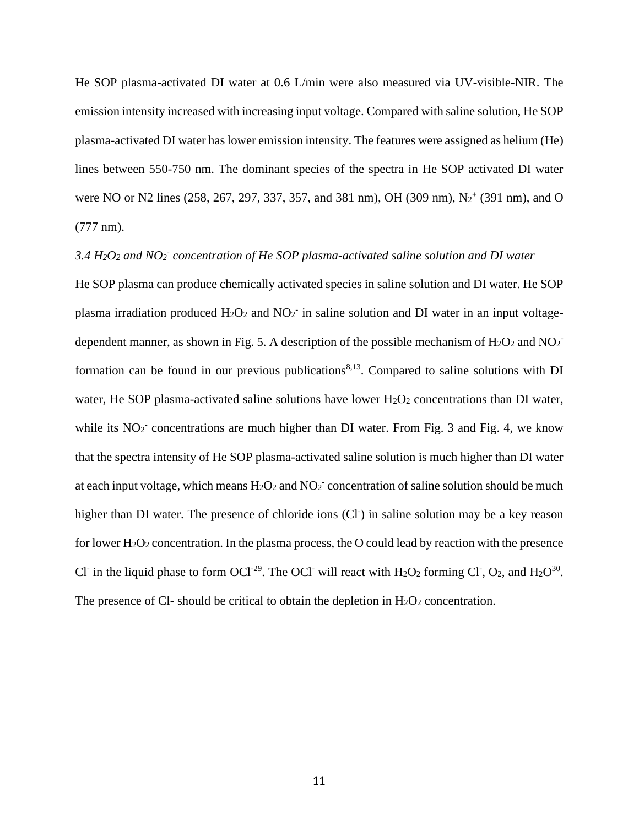He SOP plasma-activated DI water at 0.6 L/min were also measured via UV-visible-NIR. The emission intensity increased with increasing input voltage. Compared with saline solution, He SOP plasma-activated DI water has lower emission intensity. The features were assigned as helium (He) lines between 550-750 nm. The dominant species of the spectra in He SOP activated DI water were NO or N2 lines (258, 267, 297, 337, 357, and 381 nm), OH (309 nm), N<sub>2</sub><sup>+</sup> (391 nm), and O (777 nm).

## *3.4 H2O<sup>2</sup> and NO<sup>2</sup> - concentration of He SOP plasma-activated saline solution and DI water*

He SOP plasma can produce chemically activated species in saline solution and DI water. He SOP plasma irradiation produced  $H_2O_2$  and  $NO_2^-$  in saline solution and DI water in an input voltagedependent manner, as shown in Fig. 5. A description of the possible mechanism of  $H_2O_2$  and  $NO_2^$ formation can be found in our previous publications<sup>8,13</sup>. Compared to saline solutions with  $DI$ water, He SOP plasma-activated saline solutions have lower  $H_2O_2$  concentrations than DI water, while its  $NO<sub>2</sub>$ <sup>-</sup> concentrations are much higher than DI water. From Fig. 3 and Fig. 4, we know that the spectra intensity of He SOP plasma-activated saline solution is much higher than DI water at each input voltage, which means  $H_2O_2$  and  $NO_2^-$  concentration of saline solution should be much higher than DI water. The presence of chloride ions (Cl<sup>-</sup>) in saline solution may be a key reason for lower  $H_2O_2$  concentration. In the plasma process, the O could lead by reaction with the presence Cl<sup>-</sup> in the liquid phase to form OCl<sup>-29</sup>. The OCl<sup>-</sup> will react with H<sub>2</sub>O<sub>2</sub> forming Cl<sup>-</sup>, O<sub>2</sub>, and H<sub>2</sub>O<sup>30</sup>. The presence of Cl- should be critical to obtain the depletion in  $H_2O_2$  concentration.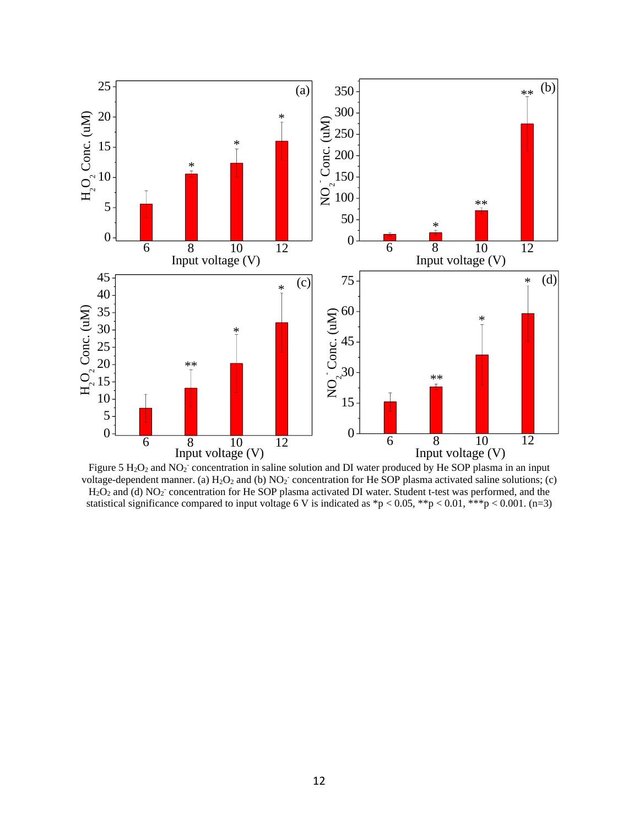

Figure 5  $H_2O_2$  and NO<sub>2</sub><sup>-</sup> concentration in saline solution and DI water produced by He SOP plasma in an input voltage-dependent manner. (a)  $H_2O_2$  and (b)  $NO_2^-$  concentration for He SOP plasma activated saline solutions; (c)  $H_2O_2$  and (d) NO<sub>2</sub><sup>-</sup> concentration for He SOP plasma activated DI water. Student t-test was performed, and the statistical significance compared to input voltage 6 V is indicated as  $\frac{*p}{0.05}$ ,  $\frac{*p}{0.01}$ ,  $\frac{*p}{0.001}$ ,  $(n=3)$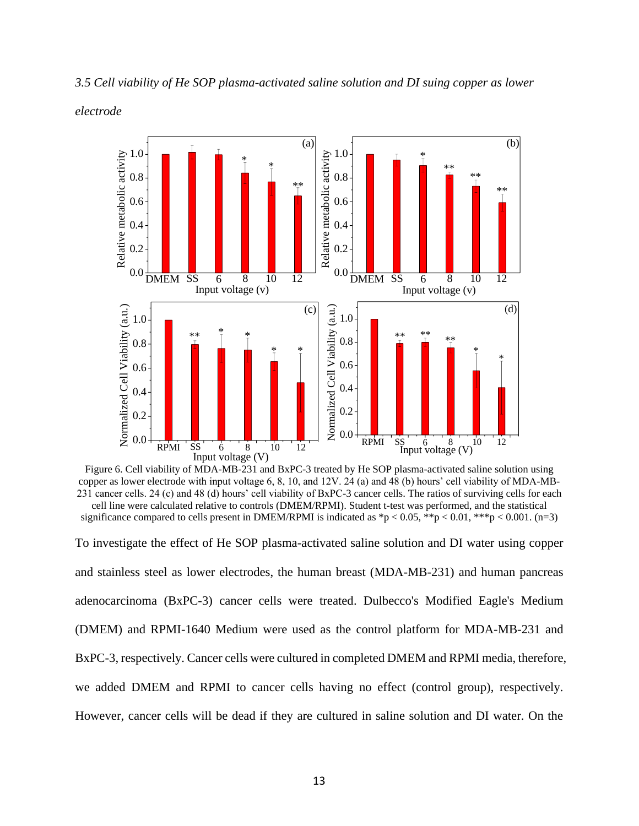

*3.5 Cell viability of He SOP plasma-activated saline solution and DI suing copper as lower* 

*electrode*

Figure 6. Cell viability of MDA-MB-231 and BxPC-3 treated by He SOP plasma-activated saline solution using copper as lower electrode with input voltage 6, 8, 10, and 12V. 24 (a) and 48 (b) hours' cell viability of MDA-MB-231 cancer cells. 24 (c) and 48 (d) hours' cell viability of BxPC-3 cancer cells. The ratios of surviving cells for each cell line were calculated relative to controls (DMEM/RPMI). Student t-test was performed, and the statistical significance compared to cells present in DMEM/RPMI is indicated as  $\frac{1}{2}p < 0.05$ ,  $\frac{1}{2}p < 0.01$ ,  $\frac{1}{2}p < 0.001$ . (n=3)

To investigate the effect of He SOP plasma-activated saline solution and DI water using copper and stainless steel as lower electrodes, the human breast (MDA-MB-231) and human pancreas adenocarcinoma (BxPC-3) cancer cells were treated. Dulbecco's Modified Eagle's Medium (DMEM) and RPMI-1640 Medium were used as the control platform for MDA-MB-231 and BxPC-3, respectively. Cancer cells were cultured in completed DMEM and RPMI media, therefore, we added DMEM and RPMI to cancer cells having no effect (control group), respectively. However, cancer cells will be dead if they are cultured in saline solution and DI water. On the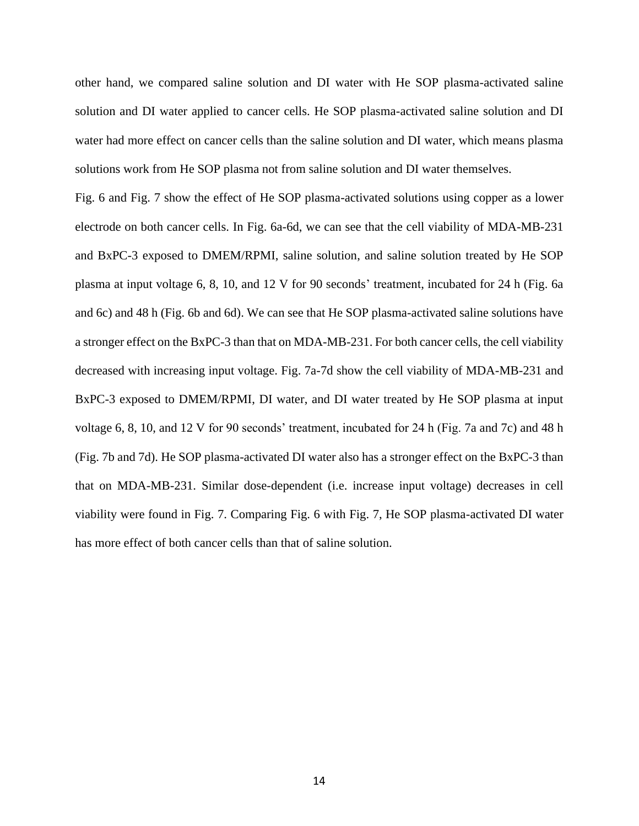other hand, we compared saline solution and DI water with He SOP plasma-activated saline solution and DI water applied to cancer cells. He SOP plasma-activated saline solution and DI water had more effect on cancer cells than the saline solution and DI water, which means plasma solutions work from He SOP plasma not from saline solution and DI water themselves.

Fig. 6 and Fig. 7 show the effect of He SOP plasma-activated solutions using copper as a lower electrode on both cancer cells. In Fig. 6a-6d, we can see that the cell viability of MDA-MB-231 and BxPC-3 exposed to DMEM/RPMI, saline solution, and saline solution treated by He SOP plasma at input voltage 6, 8, 10, and 12 V for 90 seconds' treatment, incubated for 24 h (Fig. 6a and 6c) and 48 h (Fig. 6b and 6d). We can see that He SOP plasma-activated saline solutions have a stronger effect on the BxPC-3 than that on MDA-MB-231. For both cancer cells, the cell viability decreased with increasing input voltage. Fig. 7a-7d show the cell viability of MDA-MB-231 and BxPC-3 exposed to DMEM/RPMI, DI water, and DI water treated by He SOP plasma at input voltage 6, 8, 10, and 12 V for 90 seconds' treatment, incubated for 24 h (Fig. 7a and 7c) and 48 h (Fig. 7b and 7d). He SOP plasma-activated DI water also has a stronger effect on the BxPC-3 than that on MDA-MB-231. Similar dose-dependent (i.e. increase input voltage) decreases in cell viability were found in Fig. 7. Comparing Fig. 6 with Fig. 7, He SOP plasma-activated DI water has more effect of both cancer cells than that of saline solution.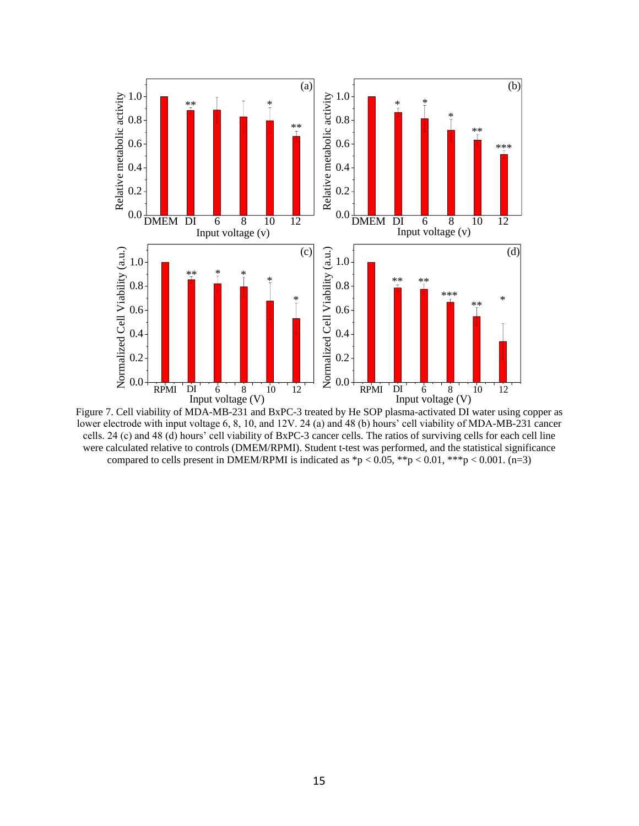

Figure 7. Cell viability of MDA-MB-231 and BxPC-3 treated by He SOP plasma-activated DI water using copper as lower electrode with input voltage 6, 8, 10, and 12V. 24 (a) and 48 (b) hours' cell viability of MDA-MB-231 cancer cells. 24 (c) and 48 (d) hours' cell viability of BxPC-3 cancer cells. The ratios of surviving cells for each cell line were calculated relative to controls (DMEM/RPMI). Student t-test was performed, and the statistical significance compared to cells present in DMEM/RPMI is indicated as  $p < 0.05$ ,  $\binom{1}{2}$  and  $\binom{1}{2}$  and  $\binom{n-3}{2}$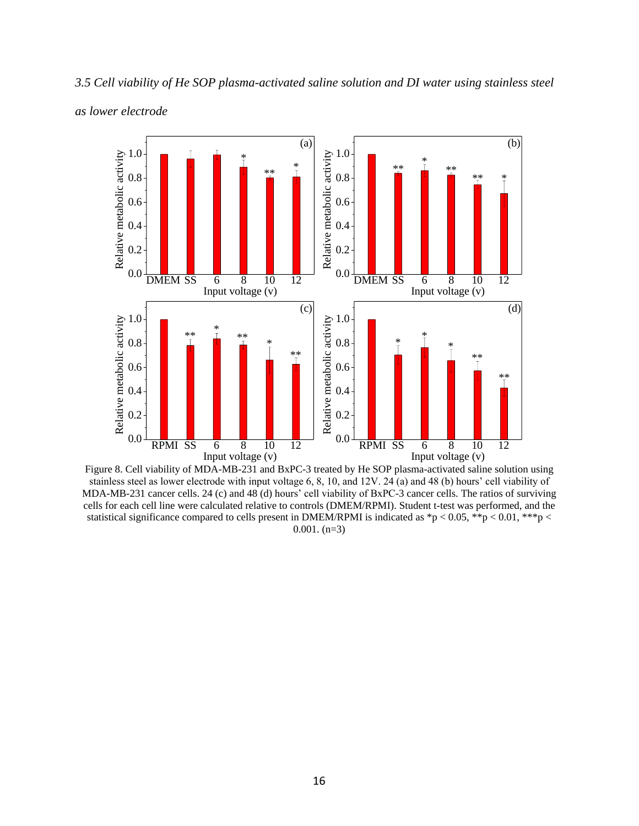

*3.5 Cell viability of He SOP plasma-activated saline solution and DI water using stainless steel* 

*as lower electrode*

Figure 8. Cell viability of MDA-MB-231 and BxPC-3 treated by He SOP plasma-activated saline solution using stainless steel as lower electrode with input voltage 6, 8, 10, and 12V. 24 (a) and 48 (b) hours' cell viability of MDA-MB-231 cancer cells. 24 (c) and 48 (d) hours' cell viability of BxPC-3 cancer cells. The ratios of surviving cells for each cell line were calculated relative to controls (DMEM/RPMI). Student t-test was performed, and the statistical significance compared to cells present in DMEM/RPMI is indicated as \*p < 0.05, \*\*p < 0.01, \*\*\*p <  $0.001.$  (n=3)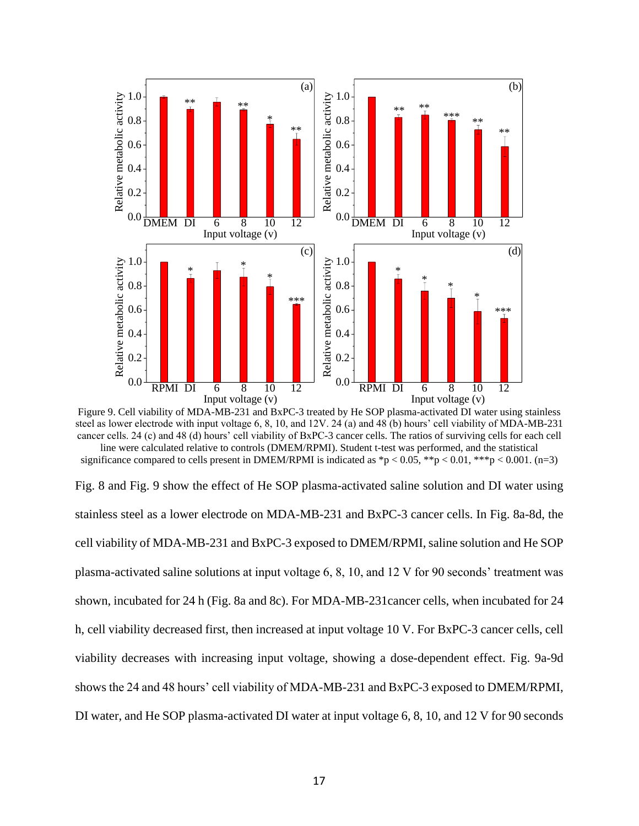

Figure 9. Cell viability of MDA-MB-231 and BxPC-3 treated by He SOP plasma-activated DI water using stainless steel as lower electrode with input voltage 6, 8, 10, and 12V. 24 (a) and 48 (b) hours' cell viability of MDA-MB-231 cancer cells. 24 (c) and 48 (d) hours' cell viability of BxPC-3 cancer cells. The ratios of surviving cells for each cell line were calculated relative to controls (DMEM/RPMI). Student t-test was performed, and the statistical significance compared to cells present in DMEM/RPMI is indicated as  $\frac{1}{2}p < 0.05$ ,  $\frac{1}{2}p < 0.01$ ,  $\frac{1}{2}p < 0.001$ . (n=3)

Fig. 8 and Fig. 9 show the effect of He SOP plasma-activated saline solution and DI water using stainless steel as a lower electrode on MDA-MB-231 and BxPC-3 cancer cells. In Fig. 8a-8d, the cell viability of MDA-MB-231 and BxPC-3 exposed to DMEM/RPMI, saline solution and He SOP plasma-activated saline solutions at input voltage 6, 8, 10, and 12 V for 90 seconds' treatment was shown, incubated for 24 h (Fig. 8a and 8c). For MDA-MB-231cancer cells, when incubated for 24 h, cell viability decreased first, then increased at input voltage 10 V. For BxPC-3 cancer cells, cell viability decreases with increasing input voltage, showing a dose-dependent effect. Fig. 9a-9d shows the 24 and 48 hours' cell viability of MDA-MB-231 and BxPC-3 exposed to DMEM/RPMI, DI water, and He SOP plasma-activated DI water at input voltage 6, 8, 10, and 12 V for 90 seconds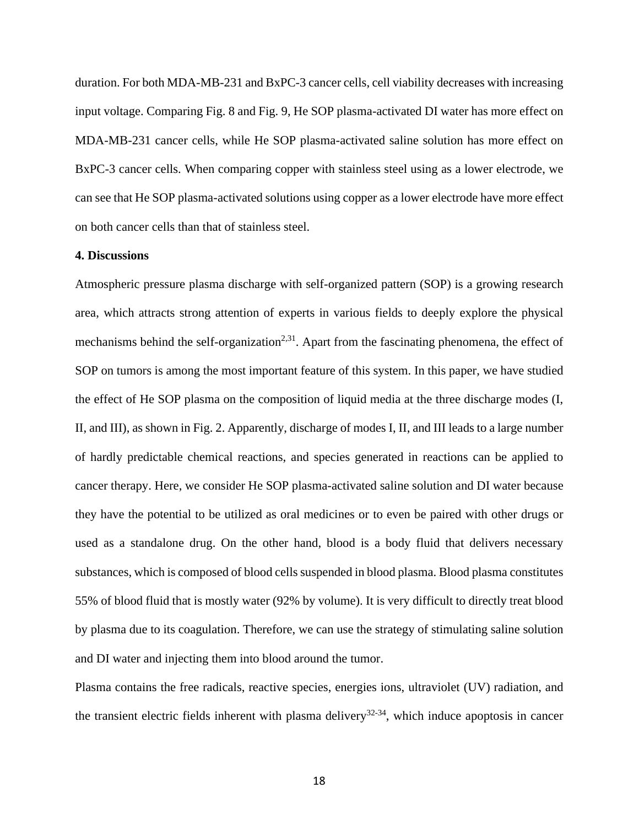duration. For both MDA-MB-231 and BxPC-3 cancer cells, cell viability decreases with increasing input voltage. Comparing Fig. 8 and Fig. 9, He SOP plasma-activated DI water has more effect on MDA-MB-231 cancer cells, while He SOP plasma-activated saline solution has more effect on BxPC-3 cancer cells. When comparing copper with stainless steel using as a lower electrode, we can see that He SOP plasma-activated solutions using copper as a lower electrode have more effect on both cancer cells than that of stainless steel.

## **4. Discussions**

Atmospheric pressure plasma discharge with self-organized pattern (SOP) is a growing research area, which attracts strong attention of experts in various fields to deeply explore the physical mechanisms behind the self-organization<sup>2,31</sup>. Apart from the fascinating phenomena, the effect of SOP on tumors is among the most important feature of this system. In this paper, we have studied the effect of He SOP plasma on the composition of liquid media at the three discharge modes (I, II, and III), as shown in Fig. 2. Apparently, discharge of modes I, II, and III leads to a large number of hardly predictable chemical reactions, and species generated in reactions can be applied to cancer therapy. Here, we consider He SOP plasma-activated saline solution and DI water because they have the potential to be utilized as oral medicines or to even be paired with other drugs or used as a standalone drug. On the other hand, blood is a body fluid that delivers necessary substances, which is composed of blood cells suspended in blood plasma. Blood plasma constitutes 55% of blood fluid that is mostly water (92% by volume). It is very difficult to directly treat blood by plasma due to its coagulation. Therefore, we can use the strategy of stimulating saline solution and DI water and injecting them into blood around the tumor.

Plasma contains the free radicals, reactive species, energies ions, ultraviolet (UV) radiation, and the transient electric fields inherent with plasma delivery<sup>32-34</sup>, which induce apoptosis in cancer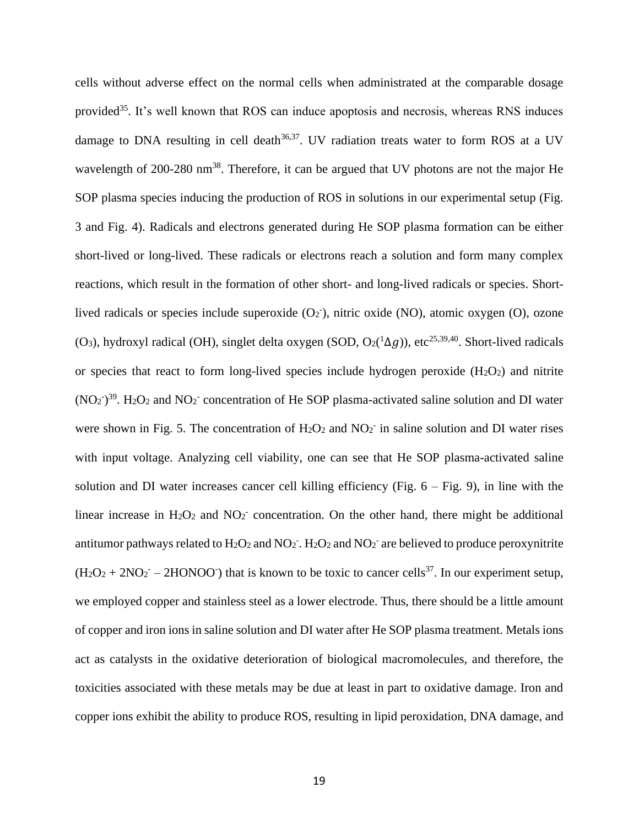cells without adverse effect on the normal cells when administrated at the comparable dosage provided<sup>35</sup>. It's well known that ROS can induce apoptosis and necrosis, whereas RNS induces damage to DNA resulting in cell death $36,37$ . UV radiation treats water to form ROS at a UV wavelength of 200-280 nm<sup>38</sup>. Therefore, it can be argued that UV photons are not the major He SOP plasma species inducing the production of ROS in solutions in our experimental setup (Fig. 3 and Fig. 4). Radicals and electrons generated during He SOP plasma formation can be either short-lived or long-lived. These radicals or electrons reach a solution and form many complex reactions, which result in the formation of other short- and long-lived radicals or species. Shortlived radicals or species include superoxide  $(O_2)$ , nitric oxide  $(NO)$ , atomic oxygen  $(O)$ , ozone (O<sub>3</sub>), hydroxyl radical (OH), singlet delta oxygen (SOD, O2( $^1\Delta g$ )), etc<sup>25,39,40</sup>. Short-lived radicals or species that react to form long-lived species include hydrogen peroxide  $(H_2O_2)$  and nitrite  $(NO<sub>2</sub>)<sup>39</sup>$ . H<sub>2</sub>O<sub>2</sub> and NO<sub>2</sub><sup>-</sup> concentration of He SOP plasma-activated saline solution and DI water were shown in Fig. 5. The concentration of  $H_2O_2$  and  $NO_2$ <sup>-</sup> in saline solution and DI water rises with input voltage. Analyzing cell viability, one can see that He SOP plasma-activated saline solution and DI water increases cancer cell killing efficiency (Fig. 6 – Fig. 9), in line with the linear increase in  $H_2O_2$  and  $NO_2^-$  concentration. On the other hand, there might be additional antitumor pathways related to  $H_2O_2$  and  $NO_2$ .  $H_2O_2$  and  $NO_2$  are believed to produce peroxynitrite  $(H_2O_2 + 2NO_2 - 2HONOO^*)$  that is known to be toxic to cancer cells<sup>37</sup>. In our experiment setup, we employed copper and stainless steel as a lower electrode. Thus, there should be a little amount of copper and iron ions in saline solution and DI water after He SOP plasma treatment. Metals ions act as catalysts in the oxidative deterioration of biological macromolecules, and therefore, the toxicities associated with these metals may be due at least in part to oxidative damage. Iron and copper ions exhibit the ability to produce ROS, resulting in lipid peroxidation, DNA damage, and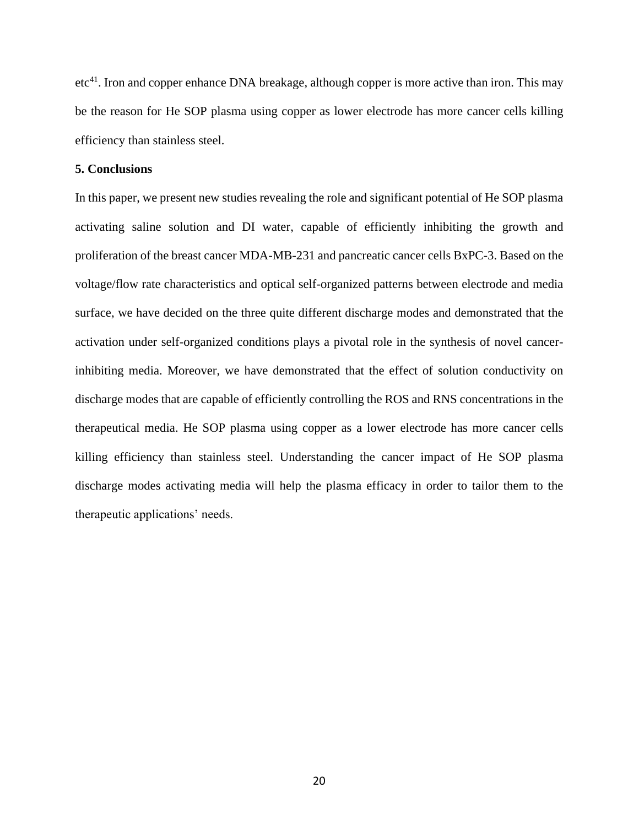etc<sup>41</sup>. Iron and copper enhance DNA breakage, although copper is more active than iron. This may be the reason for He SOP plasma using copper as lower electrode has more cancer cells killing efficiency than stainless steel.

### **5. Conclusions**

In this paper, we present new studies revealing the role and significant potential of He SOP plasma activating saline solution and DI water, capable of efficiently inhibiting the growth and proliferation of the breast cancer MDA-MB-231 and pancreatic cancer cells BxPC-3. Based on the voltage/flow rate characteristics and optical self-organized patterns between electrode and media surface, we have decided on the three quite different discharge modes and demonstrated that the activation under self-organized conditions plays a pivotal role in the synthesis of novel cancerinhibiting media. Moreover, we have demonstrated that the effect of solution conductivity on discharge modes that are capable of efficiently controlling the ROS and RNS concentrations in the therapeutical media. He SOP plasma using copper as a lower electrode has more cancer cells killing efficiency than stainless steel. Understanding the cancer impact of He SOP plasma discharge modes activating media will help the plasma efficacy in order to tailor them to the therapeutic applications' needs.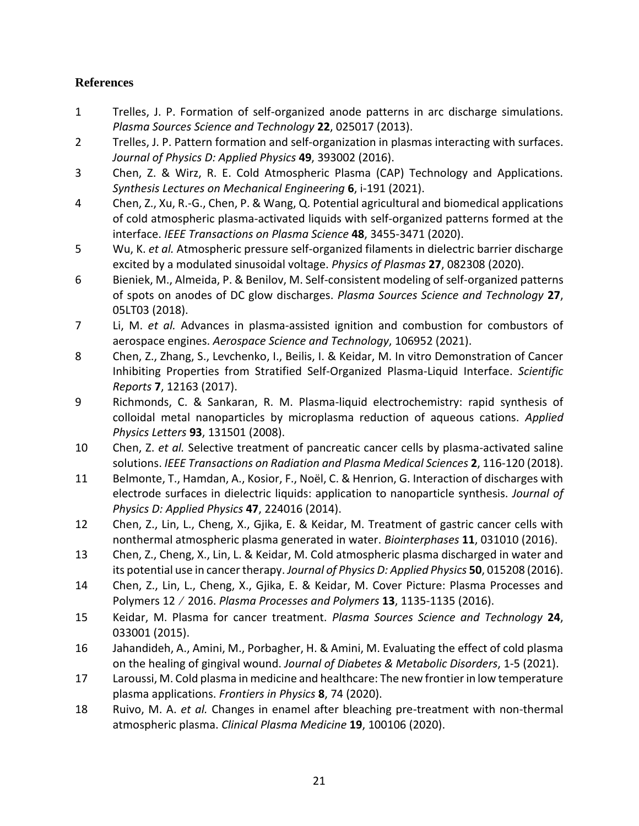# **References**

- 1 Trelles, J. P. Formation of self-organized anode patterns in arc discharge simulations. *Plasma Sources Science and Technology* **22**, 025017 (2013).
- 2 Trelles, J. P. Pattern formation and self-organization in plasmas interacting with surfaces. *Journal of Physics D: Applied Physics* **49**, 393002 (2016).
- 3 Chen, Z. & Wirz, R. E. Cold Atmospheric Plasma (CAP) Technology and Applications. *Synthesis Lectures on Mechanical Engineering* **6**, i-191 (2021).
- 4 Chen, Z., Xu, R.-G., Chen, P. & Wang, Q. Potential agricultural and biomedical applications of cold atmospheric plasma-activated liquids with self-organized patterns formed at the interface. *IEEE Transactions on Plasma Science* **48**, 3455-3471 (2020).
- 5 Wu, K. *et al.* Atmospheric pressure self-organized filaments in dielectric barrier discharge excited by a modulated sinusoidal voltage. *Physics of Plasmas* **27**, 082308 (2020).
- 6 Bieniek, M., Almeida, P. & Benilov, M. Self-consistent modeling of self-organized patterns of spots on anodes of DC glow discharges. *Plasma Sources Science and Technology* **27**, 05LT03 (2018).
- 7 Li, M. *et al.* Advances in plasma-assisted ignition and combustion for combustors of aerospace engines. *Aerospace Science and Technology*, 106952 (2021).
- 8 Chen, Z., Zhang, S., Levchenko, I., Beilis, I. & Keidar, M. In vitro Demonstration of Cancer Inhibiting Properties from Stratified Self-Organized Plasma-Liquid Interface. *Scientific Reports* **7**, 12163 (2017).
- 9 Richmonds, C. & Sankaran, R. M. Plasma-liquid electrochemistry: rapid synthesis of colloidal metal nanoparticles by microplasma reduction of aqueous cations. *Applied Physics Letters* **93**, 131501 (2008).
- 10 Chen, Z. *et al.* Selective treatment of pancreatic cancer cells by plasma-activated saline solutions. *IEEE Transactions on Radiation and Plasma Medical Sciences* **2**, 116-120 (2018).
- 11 Belmonte, T., Hamdan, A., Kosior, F., Noël, C. & Henrion, G. Interaction of discharges with electrode surfaces in dielectric liquids: application to nanoparticle synthesis. *Journal of Physics D: Applied Physics* **47**, 224016 (2014).
- 12 Chen, Z., Lin, L., Cheng, X., Gjika, E. & Keidar, M. Treatment of gastric cancer cells with nonthermal atmospheric plasma generated in water. *Biointerphases* **11**, 031010 (2016).
- 13 Chen, Z., Cheng, X., Lin, L. & Keidar, M. Cold atmospheric plasma discharged in water and its potential use in cancer therapy. *Journal of Physics D: Applied Physics* **50**, 015208 (2016).
- 14 Chen, Z., Lin, L., Cheng, X., Gjika, E. & Keidar, M. Cover Picture: Plasma Processes and Polymers 12∕2016. *Plasma Processes and Polymers* **13**, 1135-1135 (2016).
- 15 Keidar, M. Plasma for cancer treatment. *Plasma Sources Science and Technology* **24**, 033001 (2015).
- 16 Jahandideh, A., Amini, M., Porbagher, H. & Amini, M. Evaluating the effect of cold plasma on the healing of gingival wound. *Journal of Diabetes & Metabolic Disorders*, 1-5 (2021).
- 17 Laroussi, M. Cold plasma in medicine and healthcare: The new frontier in low temperature plasma applications. *Frontiers in Physics* **8**, 74 (2020).
- 18 Ruivo, M. A. *et al.* Changes in enamel after bleaching pre-treatment with non-thermal atmospheric plasma. *Clinical Plasma Medicine* **19**, 100106 (2020).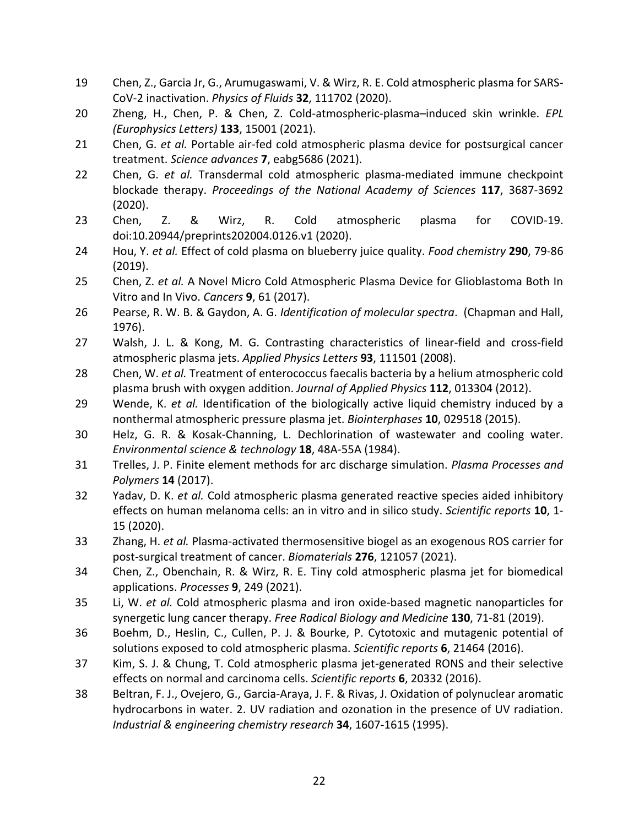- 19 Chen, Z., Garcia Jr, G., Arumugaswami, V. & Wirz, R. E. Cold atmospheric plasma for SARS-CoV-2 inactivation. *Physics of Fluids* **32**, 111702 (2020).
- 20 Zheng, H., Chen, P. & Chen, Z. Cold-atmospheric-plasma–induced skin wrinkle. *EPL (Europhysics Letters)* **133**, 15001 (2021).
- 21 Chen, G. *et al.* Portable air-fed cold atmospheric plasma device for postsurgical cancer treatment. *Science advances* **7**, eabg5686 (2021).
- 22 Chen, G. *et al.* Transdermal cold atmospheric plasma-mediated immune checkpoint blockade therapy. *Proceedings of the National Academy of Sciences* **117**, 3687-3692 (2020).
- 23 Chen, Z. & Wirz, R. Cold atmospheric plasma for COVID-19. doi:10.20944/preprints202004.0126.v1 (2020).
- 24 Hou, Y. *et al.* Effect of cold plasma on blueberry juice quality. *Food chemistry* **290**, 79-86 (2019).
- 25 Chen, Z. *et al.* A Novel Micro Cold Atmospheric Plasma Device for Glioblastoma Both In Vitro and In Vivo. *Cancers* **9**, 61 (2017).
- 26 Pearse, R. W. B. & Gaydon, A. G. *Identification of molecular spectra*. (Chapman and Hall, 1976).
- 27 Walsh, J. L. & Kong, M. G. Contrasting characteristics of linear-field and cross-field atmospheric plasma jets. *Applied Physics Letters* **93**, 111501 (2008).
- 28 Chen, W. *et al.* Treatment of enterococcus faecalis bacteria by a helium atmospheric cold plasma brush with oxygen addition. *Journal of Applied Physics* **112**, 013304 (2012).
- 29 Wende, K. *et al.* Identification of the biologically active liquid chemistry induced by a nonthermal atmospheric pressure plasma jet. *Biointerphases* **10**, 029518 (2015).
- 30 Helz, G. R. & Kosak-Channing, L. Dechlorination of wastewater and cooling water. *Environmental science & technology* **18**, 48A-55A (1984).
- 31 Trelles, J. P. Finite element methods for arc discharge simulation. *Plasma Processes and Polymers* **14** (2017).
- 32 Yadav, D. K. *et al.* Cold atmospheric plasma generated reactive species aided inhibitory effects on human melanoma cells: an in vitro and in silico study. *Scientific reports* **10**, 1- 15 (2020).
- 33 Zhang, H. *et al.* Plasma-activated thermosensitive biogel as an exogenous ROS carrier for post-surgical treatment of cancer. *Biomaterials* **276**, 121057 (2021).
- 34 Chen, Z., Obenchain, R. & Wirz, R. E. Tiny cold atmospheric plasma jet for biomedical applications. *Processes* **9**, 249 (2021).
- 35 Li, W. *et al.* Cold atmospheric plasma and iron oxide-based magnetic nanoparticles for synergetic lung cancer therapy. *Free Radical Biology and Medicine* **130**, 71-81 (2019).
- 36 Boehm, D., Heslin, C., Cullen, P. J. & Bourke, P. Cytotoxic and mutagenic potential of solutions exposed to cold atmospheric plasma. *Scientific reports* **6**, 21464 (2016).
- 37 Kim, S. J. & Chung, T. Cold atmospheric plasma jet-generated RONS and their selective effects on normal and carcinoma cells. *Scientific reports* **6**, 20332 (2016).
- 38 Beltran, F. J., Ovejero, G., Garcia-Araya, J. F. & Rivas, J. Oxidation of polynuclear aromatic hydrocarbons in water. 2. UV radiation and ozonation in the presence of UV radiation. *Industrial & engineering chemistry research* **34**, 1607-1615 (1995).